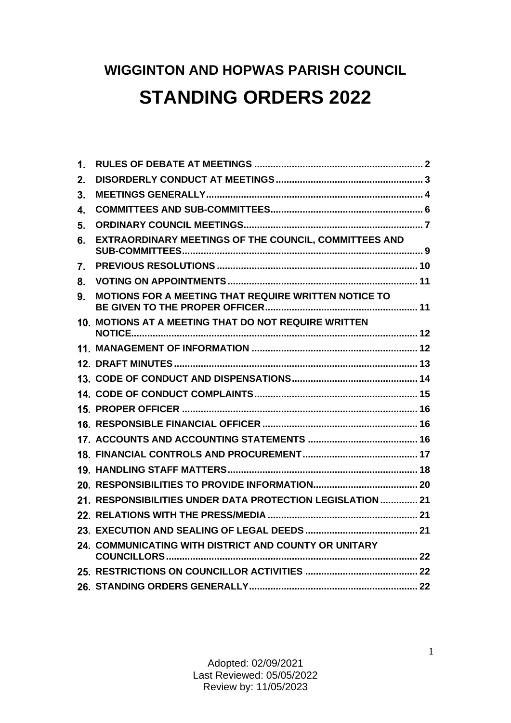# **WIGGINTON AND HOPWAS PARISH COUNCIL STANDING ORDERS 2022**

| 1. |                                                            |  |
|----|------------------------------------------------------------|--|
| 2. |                                                            |  |
| 3. |                                                            |  |
| 4. |                                                            |  |
| 5. |                                                            |  |
| 6. | EXTRAORDINARY MEETINGS OF THE COUNCIL, COMMITTEES AND      |  |
| 7. |                                                            |  |
| 8. |                                                            |  |
| 9. | MOTIONS FOR A MEETING THAT REQUIRE WRITTEN NOTICE TO       |  |
|    | 10. MOTIONS AT A MEETING THAT DO NOT REQUIRE WRITTEN       |  |
|    |                                                            |  |
|    |                                                            |  |
|    |                                                            |  |
|    |                                                            |  |
|    |                                                            |  |
|    |                                                            |  |
|    |                                                            |  |
|    |                                                            |  |
|    |                                                            |  |
|    |                                                            |  |
|    | 21. RESPONSIBILITIES UNDER DATA PROTECTION LEGISLATION  21 |  |
|    |                                                            |  |
|    |                                                            |  |
|    | 24. COMMUNICATING WITH DISTRICT AND COUNTY OR UNITARY      |  |
|    |                                                            |  |
|    |                                                            |  |
|    |                                                            |  |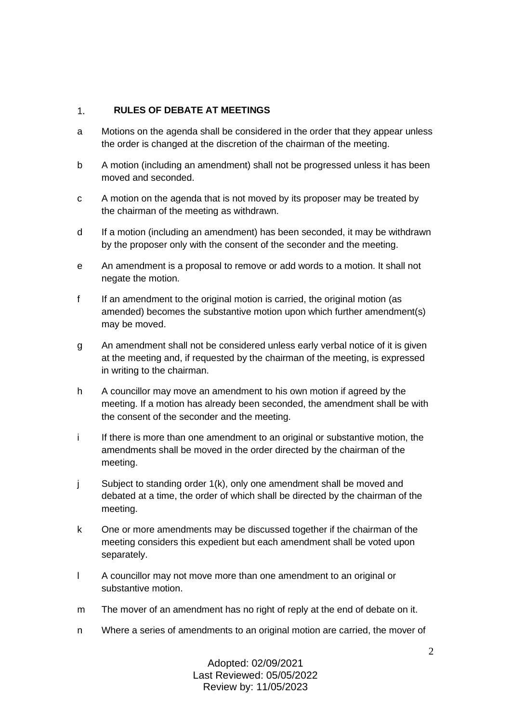#### <span id="page-1-0"></span> $1.$ **RULES OF DEBATE AT MEETINGS**

- a Motions on the agenda shall be considered in the order that they appear unless the order is changed at the discretion of the chairman of the meeting.
- b A motion (including an amendment) shall not be progressed unless it has been moved and seconded.
- c A motion on the agenda that is not moved by its proposer may be treated by the chairman of the meeting as withdrawn.
- d If a motion (including an amendment) has been seconded, it may be withdrawn by the proposer only with the consent of the seconder and the meeting.
- e An amendment is a proposal to remove or add words to a motion. It shall not negate the motion.
- f If an amendment to the original motion is carried, the original motion (as amended) becomes the substantive motion upon which further amendment(s) may be moved.
- g An amendment shall not be considered unless early verbal notice of it is given at the meeting and, if requested by the chairman of the meeting, is expressed in writing to the chairman.
- h A councillor may move an amendment to his own motion if agreed by the meeting. If a motion has already been seconded, the amendment shall be with the consent of the seconder and the meeting.
- i If there is more than one amendment to an original or substantive motion, the amendments shall be moved in the order directed by the chairman of the meeting.
- j Subject to standing order 1(k), only one amendment shall be moved and debated at a time, the order of which shall be directed by the chairman of the meeting.
- k One or more amendments may be discussed together if the chairman of the meeting considers this expedient but each amendment shall be voted upon separately.
- l A councillor may not move more than one amendment to an original or substantive motion.
- m The mover of an amendment has no right of reply at the end of debate on it.
- n Where a series of amendments to an original motion are carried, the mover of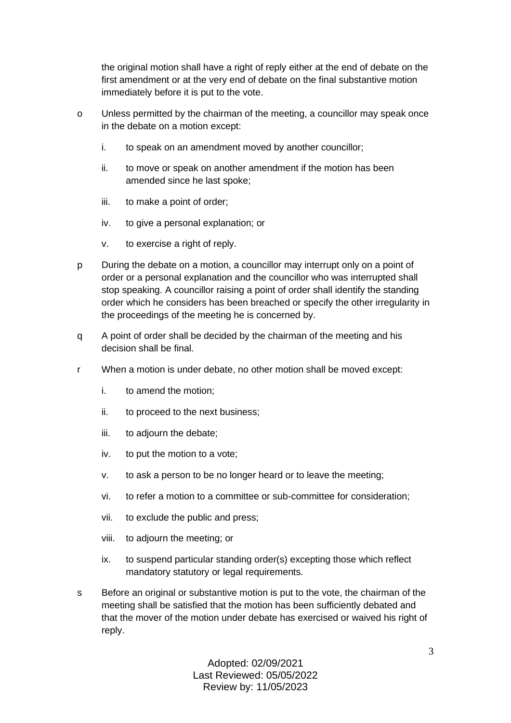the original motion shall have a right of reply either at the end of debate on the first amendment or at the very end of debate on the final substantive motion immediately before it is put to the vote.

- o Unless permitted by the chairman of the meeting, a councillor may speak once in the debate on a motion except:
	- i. to speak on an amendment moved by another councillor;
	- ii. to move or speak on another amendment if the motion has been amended since he last spoke;
	- iii. to make a point of order;
	- iv. to give a personal explanation; or
	- v. to exercise a right of reply.
- p During the debate on a motion, a councillor may interrupt only on a point of order or a personal explanation and the councillor who was interrupted shall stop speaking. A councillor raising a point of order shall identify the standing order which he considers has been breached or specify the other irregularity in the proceedings of the meeting he is concerned by.
- q A point of order shall be decided by the chairman of the meeting and his decision shall be final.
- r When a motion is under debate, no other motion shall be moved except:
	- i. to amend the motion;
	- ii. to proceed to the next business;
	- iii. to adjourn the debate;
	- iv. to put the motion to a vote;
	- v. to ask a person to be no longer heard or to leave the meeting;
	- vi. to refer a motion to a committee or sub-committee for consideration;
	- vii. to exclude the public and press;
	- viii. to adjourn the meeting; or
	- ix. to suspend particular standing order(s) excepting those which reflect mandatory statutory or legal requirements.
- s Before an original or substantive motion is put to the vote, the chairman of the meeting shall be satisfied that the motion has been sufficiently debated and that the mover of the motion under debate has exercised or waived his right of reply.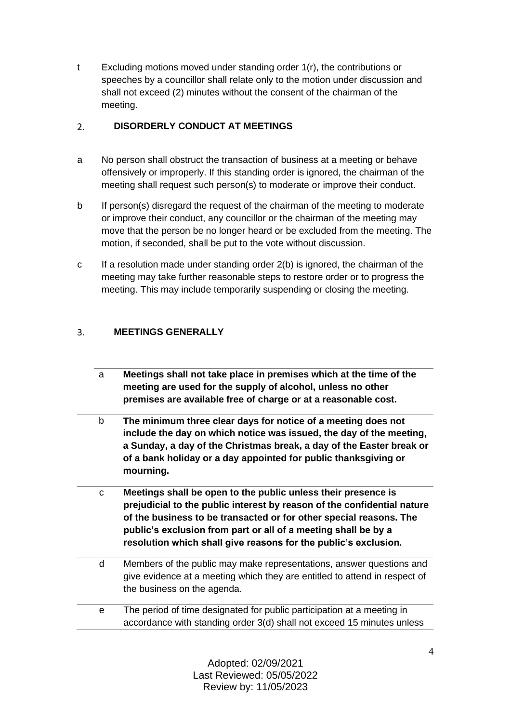t Excluding motions moved under standing order 1(r), the contributions or speeches by a councillor shall relate only to the motion under discussion and shall not exceed (2) minutes without the consent of the chairman of the meeting.

#### <span id="page-3-0"></span> $2.$ **DISORDERLY CONDUCT AT MEETINGS**

- a No person shall obstruct the transaction of business at a meeting or behave offensively or improperly. If this standing order is ignored, the chairman of the meeting shall request such person(s) to moderate or improve their conduct.
- b If person(s) disregard the request of the chairman of the meeting to moderate or improve their conduct, any councillor or the chairman of the meeting may move that the person be no longer heard or be excluded from the meeting. The motion, if seconded, shall be put to the vote without discussion.
- c If a resolution made under standing order 2(b) is ignored, the chairman of the meeting may take further reasonable steps to restore order or to progress the meeting. This may include temporarily suspending or closing the meeting.

#### <span id="page-3-1"></span> $3<sub>1</sub>$ **MEETINGS GENERALLY**

- a **Meetings shall not take place in premises which at the time of the meeting are used for the supply of alcohol, unless no other premises are available free of charge or at a reasonable cost.**
- b **The minimum three clear days for notice of a meeting does not include the day on which notice was issued, the day of the meeting, a Sunday, a day of the Christmas break, a day of the Easter break or of a bank holiday or a day appointed for public thanksgiving or mourning.**
- c **Meetings shall be open to the public unless their presence is prejudicial to the public interest by reason of the confidential nature of the business to be transacted or for other special reasons. The public's exclusion from part or all of a meeting shall be by a resolution which shall give reasons for the public's exclusion.**
- d Members of the public may make representations, answer questions and give evidence at a meeting which they are entitled to attend in respect of the business on the agenda.
- e The period of time designated for public participation at a meeting in accordance with standing order 3(d) shall not exceed 15 minutes unless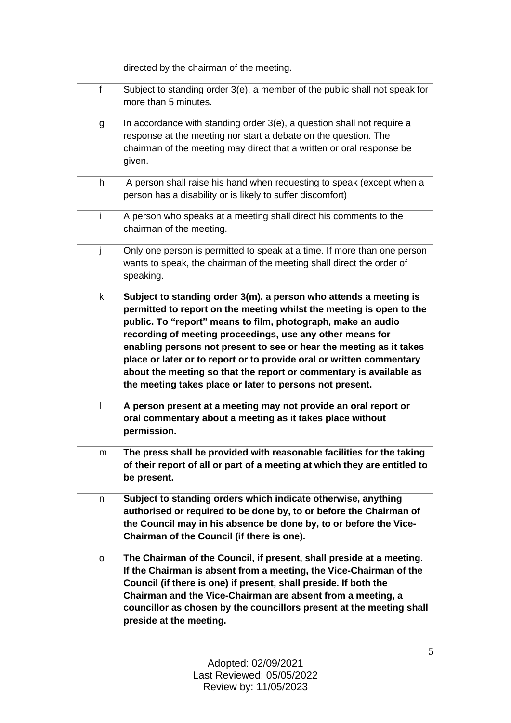|              | directed by the chairman of the meeting.                                                                                                                                                                                                                                                                                                                                                                                                                                                                                                                |
|--------------|---------------------------------------------------------------------------------------------------------------------------------------------------------------------------------------------------------------------------------------------------------------------------------------------------------------------------------------------------------------------------------------------------------------------------------------------------------------------------------------------------------------------------------------------------------|
| $\mathsf{f}$ | Subject to standing order 3(e), a member of the public shall not speak for<br>more than 5 minutes.                                                                                                                                                                                                                                                                                                                                                                                                                                                      |
| g            | In accordance with standing order 3(e), a question shall not require a<br>response at the meeting nor start a debate on the question. The<br>chairman of the meeting may direct that a written or oral response be<br>given.                                                                                                                                                                                                                                                                                                                            |
| h            | A person shall raise his hand when requesting to speak (except when a<br>person has a disability or is likely to suffer discomfort)                                                                                                                                                                                                                                                                                                                                                                                                                     |
| i.           | A person who speaks at a meeting shall direct his comments to the<br>chairman of the meeting.                                                                                                                                                                                                                                                                                                                                                                                                                                                           |
| $\mathbf{I}$ | Only one person is permitted to speak at a time. If more than one person<br>wants to speak, the chairman of the meeting shall direct the order of<br>speaking.                                                                                                                                                                                                                                                                                                                                                                                          |
| k            | Subject to standing order 3(m), a person who attends a meeting is<br>permitted to report on the meeting whilst the meeting is open to the<br>public. To "report" means to film, photograph, make an audio<br>recording of meeting proceedings, use any other means for<br>enabling persons not present to see or hear the meeting as it takes<br>place or later or to report or to provide oral or written commentary<br>about the meeting so that the report or commentary is available as<br>the meeting takes place or later to persons not present. |
|              | A person present at a meeting may not provide an oral report or<br>oral commentary about a meeting as it takes place without<br>permission.                                                                                                                                                                                                                                                                                                                                                                                                             |
| m            | The press shall be provided with reasonable facilities for the taking<br>of their report of all or part of a meeting at which they are entitled to<br>be present.                                                                                                                                                                                                                                                                                                                                                                                       |
| n            | Subject to standing orders which indicate otherwise, anything<br>authorised or required to be done by, to or before the Chairman of<br>the Council may in his absence be done by, to or before the Vice-<br>Chairman of the Council (if there is one).                                                                                                                                                                                                                                                                                                  |
| 0            | The Chairman of the Council, if present, shall preside at a meeting.<br>If the Chairman is absent from a meeting, the Vice-Chairman of the<br>Council (if there is one) if present, shall preside. If both the<br>Chairman and the Vice-Chairman are absent from a meeting, a<br>councillor as chosen by the councillors present at the meeting shall<br>preside at the meeting.                                                                                                                                                                        |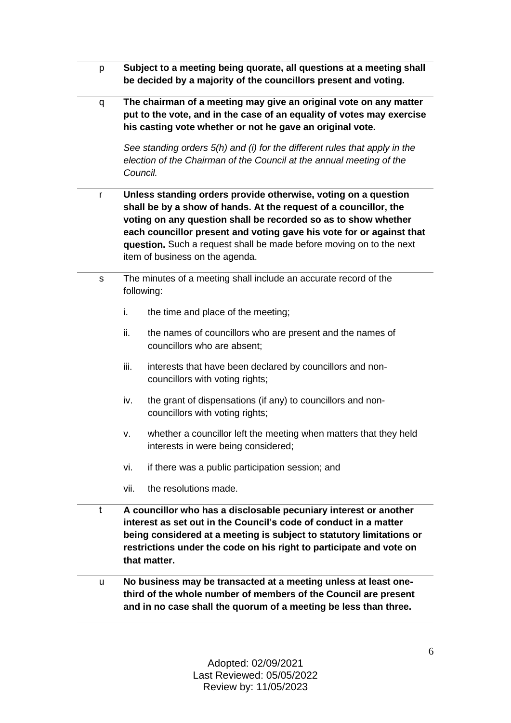| p | Subject to a meeting being quorate, all questions at a meeting shall<br>be decided by a majority of the councillors present and voting.                                                                                                                                                                                                                                                |                                                                                                          |  |  |
|---|----------------------------------------------------------------------------------------------------------------------------------------------------------------------------------------------------------------------------------------------------------------------------------------------------------------------------------------------------------------------------------------|----------------------------------------------------------------------------------------------------------|--|--|
| q | The chairman of a meeting may give an original vote on any matter<br>put to the vote, and in the case of an equality of votes may exercise<br>his casting vote whether or not he gave an original vote.<br>See standing orders 5(h) and (i) for the different rules that apply in the<br>election of the Chairman of the Council at the annual meeting of the<br>Council.              |                                                                                                          |  |  |
| r | Unless standing orders provide otherwise, voting on a question<br>shall be by a show of hands. At the request of a councillor, the<br>voting on any question shall be recorded so as to show whether<br>each councillor present and voting gave his vote for or against that<br>question. Such a request shall be made before moving on to the next<br>item of business on the agenda. |                                                                                                          |  |  |
| S | The minutes of a meeting shall include an accurate record of the<br>following:                                                                                                                                                                                                                                                                                                         |                                                                                                          |  |  |
|   | i.                                                                                                                                                                                                                                                                                                                                                                                     | the time and place of the meeting;                                                                       |  |  |
|   | ii.                                                                                                                                                                                                                                                                                                                                                                                    | the names of councillors who are present and the names of<br>councillors who are absent;                 |  |  |
|   | iii.                                                                                                                                                                                                                                                                                                                                                                                   | interests that have been declared by councillors and non-<br>councillors with voting rights;             |  |  |
|   | iv.                                                                                                                                                                                                                                                                                                                                                                                    | the grant of dispensations (if any) to councillors and non-<br>councillors with voting rights;           |  |  |
|   | ν.                                                                                                                                                                                                                                                                                                                                                                                     | whether a councillor left the meeting when matters that they held<br>interests in were being considered; |  |  |
|   | vi.                                                                                                                                                                                                                                                                                                                                                                                    | if there was a public participation session; and                                                         |  |  |
|   | vii.                                                                                                                                                                                                                                                                                                                                                                                   | the resolutions made.                                                                                    |  |  |
| t | A councillor who has a disclosable pecuniary interest or another<br>interest as set out in the Council's code of conduct in a matter<br>being considered at a meeting is subject to statutory limitations or<br>restrictions under the code on his right to participate and vote on<br>that matter.                                                                                    |                                                                                                          |  |  |
| u | No business may be transacted at a meeting unless at least one-<br>third of the whole number of members of the Council are present<br>and in no case shall the quorum of a meeting be less than three.                                                                                                                                                                                 |                                                                                                          |  |  |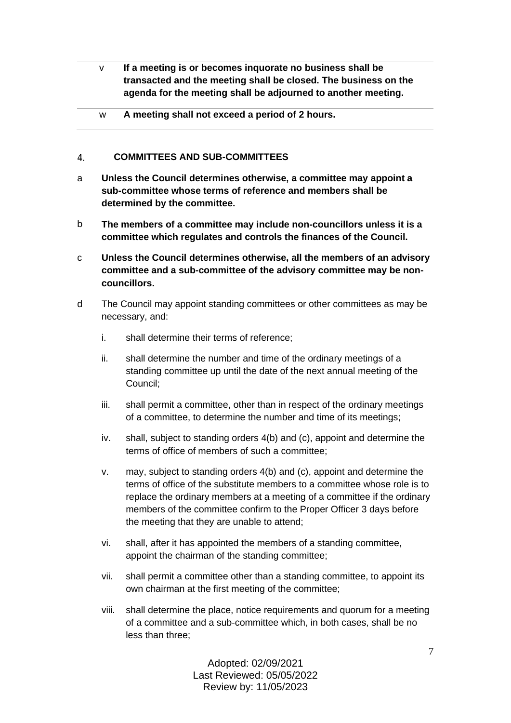- v **If a meeting is or becomes inquorate no business shall be transacted and the meeting shall be closed. The business on the agenda for the meeting shall be adjourned to another meeting.**
- w **A meeting shall not exceed a period of 2 hours.**

#### <span id="page-6-0"></span> $\mathbf{A}$ **COMMITTEES AND SUB-COMMITTEES**

- a **Unless the Council determines otherwise, a committee may appoint a sub-committee whose terms of reference and members shall be determined by the committee.**
- b **The members of a committee may include non-councillors unless it is a committee which regulates and controls the finances of the Council.**
- c **Unless the Council determines otherwise, all the members of an advisory committee and a sub-committee of the advisory committee may be noncouncillors.**
- d The Council may appoint standing committees or other committees as may be necessary, and:
	- i. shall determine their terms of reference;
	- ii. shall determine the number and time of the ordinary meetings of a standing committee up until the date of the next annual meeting of the Council;
	- iii. shall permit a committee, other than in respect of the ordinary meetings of a committee, to determine the number and time of its meetings;
	- iv. shall, subject to standing orders 4(b) and (c), appoint and determine the terms of office of members of such a committee;
	- v. may, subject to standing orders 4(b) and (c), appoint and determine the terms of office of the substitute members to a committee whose role is to replace the ordinary members at a meeting of a committee if the ordinary members of the committee confirm to the Proper Officer 3 days before the meeting that they are unable to attend;
	- vi. shall, after it has appointed the members of a standing committee, appoint the chairman of the standing committee;
	- vii. shall permit a committee other than a standing committee, to appoint its own chairman at the first meeting of the committee;
	- viii. shall determine the place, notice requirements and quorum for a meeting of a committee and a sub-committee which, in both cases, shall be no less than three;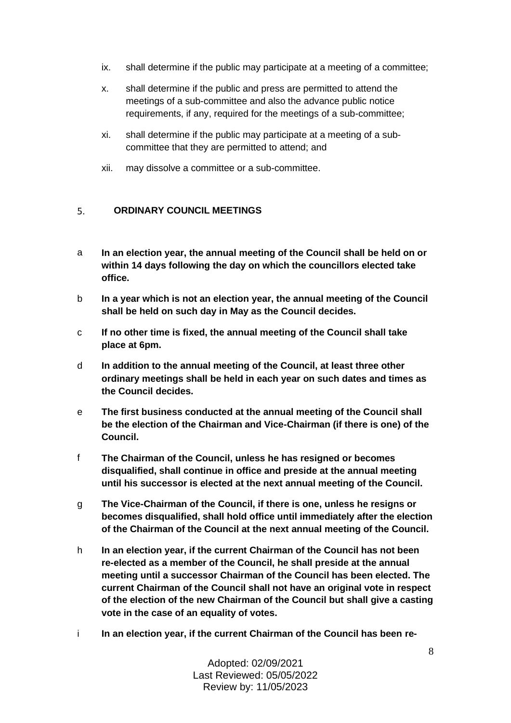- ix. shall determine if the public may participate at a meeting of a committee;
- x. shall determine if the public and press are permitted to attend the meetings of a sub-committee and also the advance public notice requirements, if any, required for the meetings of a sub-committee;
- xi. shall determine if the public may participate at a meeting of a subcommittee that they are permitted to attend; and
- xii. may dissolve a committee or a sub-committee.

#### <span id="page-7-0"></span> $5<sub>1</sub>$ **ORDINARY COUNCIL MEETINGS**

- a **In an election year, the annual meeting of the Council shall be held on or within 14 days following the day on which the councillors elected take office.**
- b **In a year which is not an election year, the annual meeting of the Council shall be held on such day in May as the Council decides.**
- c **If no other time is fixed, the annual meeting of the Council shall take place at 6pm.**
- d **In addition to the annual meeting of the Council, at least three other ordinary meetings shall be held in each year on such dates and times as the Council decides.**
- e **The first business conducted at the annual meeting of the Council shall be the election of the Chairman and Vice-Chairman (if there is one) of the Council.**
- f **The Chairman of the Council, unless he has resigned or becomes disqualified, shall continue in office and preside at the annual meeting until his successor is elected at the next annual meeting of the Council.**
- g **The Vice-Chairman of the Council, if there is one, unless he resigns or becomes disqualified, shall hold office until immediately after the election of the Chairman of the Council at the next annual meeting of the Council.**
- h **In an election year, if the current Chairman of the Council has not been re-elected as a member of the Council, he shall preside at the annual meeting until a successor Chairman of the Council has been elected. The current Chairman of the Council shall not have an original vote in respect of the election of the new Chairman of the Council but shall give a casting vote in the case of an equality of votes.**
- i **In an election year, if the current Chairman of the Council has been re-**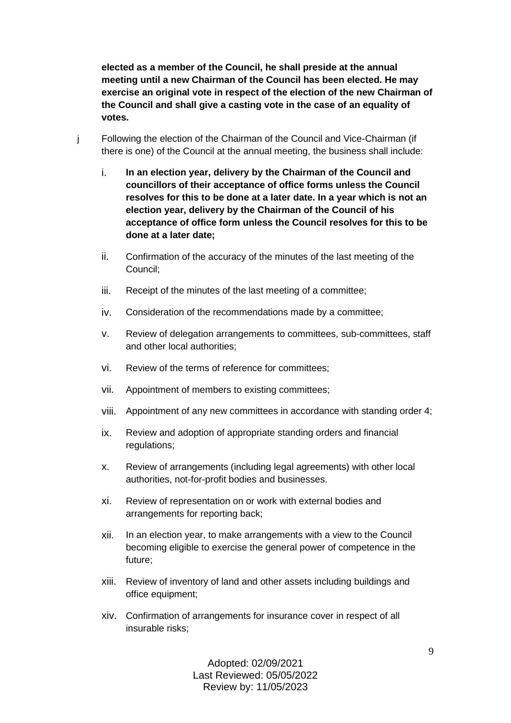**elected as a member of the Council, he shall preside at the annual meeting until a new Chairman of the Council has been elected. He may exercise an original vote in respect of the election of the new Chairman of the Council and shall give a casting vote in the case of an equality of votes.**

- j Following the election of the Chairman of the Council and Vice-Chairman (if there is one) of the Council at the annual meeting, the business shall include:
	- i. **In an election year, delivery by the Chairman of the Council and councillors of their acceptance of office forms unless the Council resolves for this to be done at a later date. In a year which is not an election year, delivery by the Chairman of the Council of his acceptance of office form unless the Council resolves for this to be done at a later date;**
	- ii. Confirmation of the accuracy of the minutes of the last meeting of the Council;
	- iii. Receipt of the minutes of the last meeting of a committee;
	- iv. Consideration of the recommendations made by a committee;
	- v. Review of delegation arrangements to committees, sub-committees, staff and other local authorities;
	- vi. Review of the terms of reference for committees;
	- vii. Appointment of members to existing committees;
	- viii. Appointment of any new committees in accordance with standing order 4;
	- ix. Review and adoption of appropriate standing orders and financial regulations;
	- x. Review of arrangements (including legal agreements) with other local authorities, not-for-profit bodies and businesses.
	- xi. Review of representation on or work with external bodies and arrangements for reporting back;
	- xii. In an election year, to make arrangements with a view to the Council becoming eligible to exercise the general power of competence in the future;
	- xiii. Review of inventory of land and other assets including buildings and office equipment;
	- xiv. Confirmation of arrangements for insurance cover in respect of all insurable risks;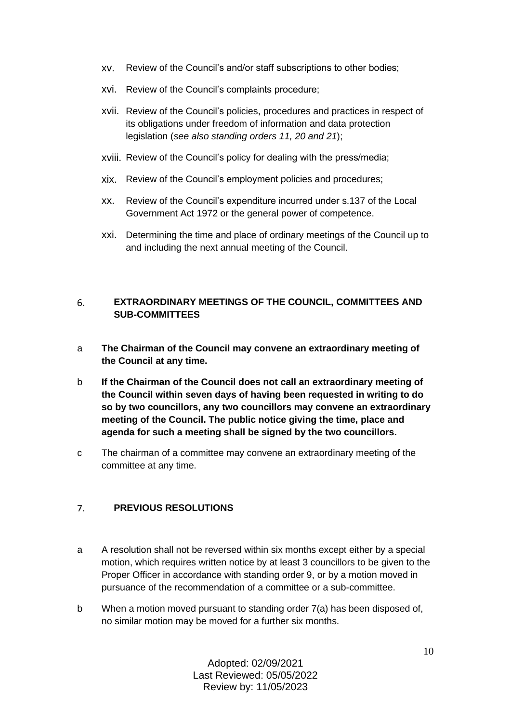- xv. Review of the Council's and/or staff subscriptions to other bodies;
- xvi. Review of the Council's complaints procedure;
- xvii. Review of the Council's policies, procedures and practices in respect of its obligations under freedom of information and data protection legislation (*see also standing orders 11, 20 and 21*);
- xviii. Review of the Council's policy for dealing with the press/media;
- xix. Review of the Council's employment policies and procedures;
- xx. Review of the Council's expenditure incurred under s.137 of the Local Government Act 1972 or the general power of competence.
- xxi. Determining the time and place of ordinary meetings of the Council up to and including the next annual meeting of the Council.

### <span id="page-9-0"></span>6. **EXTRAORDINARY MEETINGS OF THE COUNCIL, COMMITTEES AND SUB-COMMITTEES**

- a **The Chairman of the Council may convene an extraordinary meeting of the Council at any time.**
- b **If the Chairman of the Council does not call an extraordinary meeting of the Council within seven days of having been requested in writing to do so by two councillors, any two councillors may convene an extraordinary meeting of the Council. The public notice giving the time, place and agenda for such a meeting shall be signed by the two councillors.**
- c The chairman of a committee may convene an extraordinary meeting of the committee at any time.

#### <span id="page-9-1"></span> $7<sub>1</sub>$ **PREVIOUS RESOLUTIONS**

- a A resolution shall not be reversed within six months except either by a special motion, which requires written notice by at least 3 councillors to be given to the Proper Officer in accordance with standing order 9, or by a motion moved in pursuance of the recommendation of a committee or a sub-committee.
- b When a motion moved pursuant to standing order 7(a) has been disposed of, no similar motion may be moved for a further six months.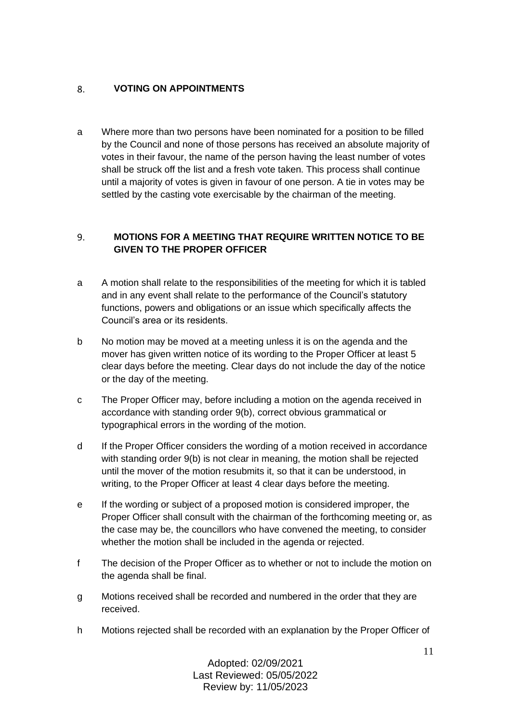#### <span id="page-10-0"></span>**VOTING ON APPOINTMENTS** 8.

a Where more than two persons have been nominated for a position to be filled by the Council and none of those persons has received an absolute majority of votes in their favour, the name of the person having the least number of votes shall be struck off the list and a fresh vote taken. This process shall continue until a majority of votes is given in favour of one person. A tie in votes may be settled by the casting vote exercisable by the chairman of the meeting.

## <span id="page-10-1"></span>**MOTIONS FOR A MEETING THAT REQUIRE WRITTEN NOTICE TO BE**  9. **GIVEN TO THE PROPER OFFICER**

- a A motion shall relate to the responsibilities of the meeting for which it is tabled and in any event shall relate to the performance of the Council's statutory functions, powers and obligations or an issue which specifically affects the Council's area or its residents.
- b No motion may be moved at a meeting unless it is on the agenda and the mover has given written notice of its wording to the Proper Officer at least 5 clear days before the meeting. Clear days do not include the day of the notice or the day of the meeting.
- c The Proper Officer may, before including a motion on the agenda received in accordance with standing order 9(b), correct obvious grammatical or typographical errors in the wording of the motion.
- d If the Proper Officer considers the wording of a motion received in accordance with standing order 9(b) is not clear in meaning, the motion shall be rejected until the mover of the motion resubmits it, so that it can be understood, in writing, to the Proper Officer at least 4 clear days before the meeting.
- e If the wording or subject of a proposed motion is considered improper, the Proper Officer shall consult with the chairman of the forthcoming meeting or, as the case may be, the councillors who have convened the meeting, to consider whether the motion shall be included in the agenda or rejected.
- f The decision of the Proper Officer as to whether or not to include the motion on the agenda shall be final.
- g Motions received shall be recorded and numbered in the order that they are received.
- h Motions rejected shall be recorded with an explanation by the Proper Officer of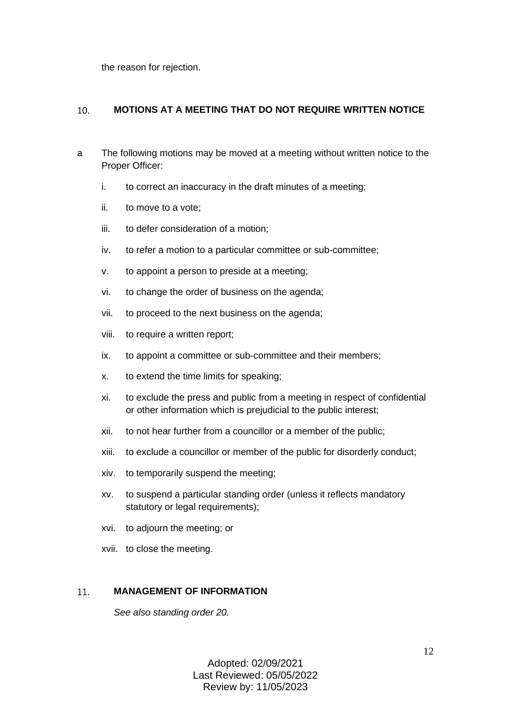the reason for rejection.

#### <span id="page-11-0"></span> $10.$ **MOTIONS AT A MEETING THAT DO NOT REQUIRE WRITTEN NOTICE**

- a The following motions may be moved at a meeting without written notice to the Proper Officer:
	- i. to correct an inaccuracy in the draft minutes of a meeting;
	- ii. to move to a vote;
	- iii. to defer consideration of a motion;
	- iv. to refer a motion to a particular committee or sub-committee;
	- v. to appoint a person to preside at a meeting;
	- vi. to change the order of business on the agenda;
	- vii. to proceed to the next business on the agenda;
	- viii. to require a written report;
	- ix. to appoint a committee or sub-committee and their members;
	- x. to extend the time limits for speaking;
	- xi. to exclude the press and public from a meeting in respect of confidential or other information which is prejudicial to the public interest;
	- xii. to not hear further from a councillor or a member of the public;
	- xiii. to exclude a councillor or member of the public for disorderly conduct;
	- xiv. to temporarily suspend the meeting;
	- xv. to suspend a particular standing order (unless it reflects mandatory statutory or legal requirements);
	- xvi. to adjourn the meeting; or
	- xvii. to close the meeting.

#### <span id="page-11-1"></span> $11<sub>1</sub>$ **MANAGEMENT OF INFORMATION**

*See also standing order 20.*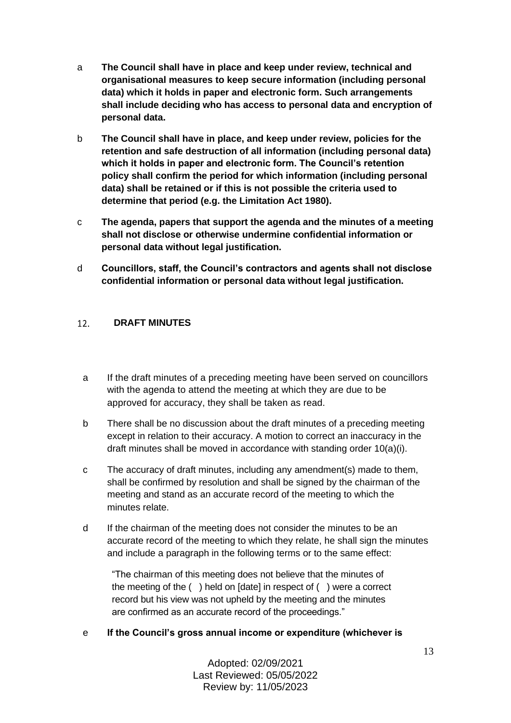- a **The Council shall have in place and keep under review, technical and organisational measures to keep secure information (including personal data) which it holds in paper and electronic form. Such arrangements shall include deciding who has access to personal data and encryption of personal data.**
- b **The Council shall have in place, and keep under review, policies for the retention and safe destruction of all information (including personal data) which it holds in paper and electronic form. The Council's retention policy shall confirm the period for which information (including personal data) shall be retained or if this is not possible the criteria used to determine that period (e.g. the Limitation Act 1980).**
- c **The agenda, papers that support the agenda and the minutes of a meeting shall not disclose or otherwise undermine confidential information or personal data without legal justification.**
- d **Councillors, staff, the Council's contractors and agents shall not disclose confidential information or personal data without legal justification.**

#### <span id="page-12-0"></span> $12.$ **DRAFT MINUTES**

- a If the draft minutes of a preceding meeting have been served on councillors with the agenda to attend the meeting at which they are due to be approved for accuracy, they shall be taken as read.
- b There shall be no discussion about the draft minutes of a preceding meeting except in relation to their accuracy. A motion to correct an inaccuracy in the draft minutes shall be moved in accordance with standing order 10(a)(i).
- c The accuracy of draft minutes, including any amendment(s) made to them, shall be confirmed by resolution and shall be signed by the chairman of the meeting and stand as an accurate record of the meeting to which the minutes relate.
- d If the chairman of the meeting does not consider the minutes to be an accurate record of the meeting to which they relate, he shall sign the minutes and include a paragraph in the following terms or to the same effect:

"The chairman of this meeting does not believe that the minutes of the meeting of the ( ) held on [date] in respect of ( ) were a correct record but his view was not upheld by the meeting and the minutes are confirmed as an accurate record of the proceedings."

# e **If the Council's gross annual income or expenditure (whichever is**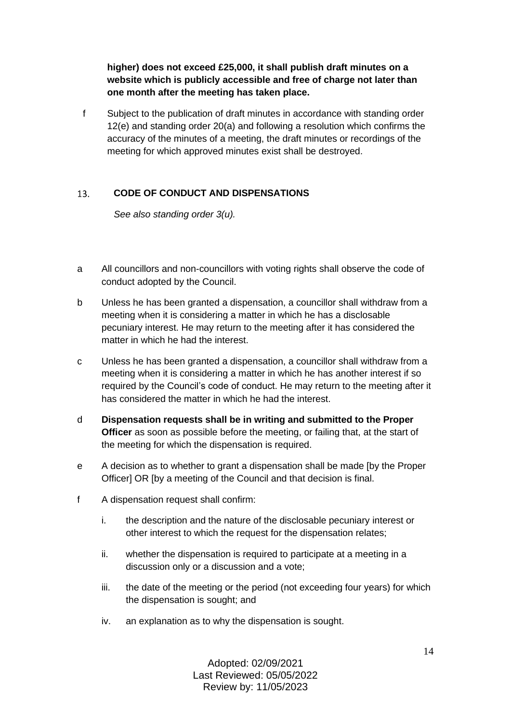**higher) does not exceed £25,000, it shall publish draft minutes on a website which is publicly accessible and free of charge not later than one month after the meeting has taken place.**

f Subject to the publication of draft minutes in accordance with standing order 12(e) and standing order 20(a) and following a resolution which confirms the accuracy of the minutes of a meeting, the draft minutes or recordings of the meeting for which approved minutes exist shall be destroyed.

#### <span id="page-13-0"></span> $13.$ **CODE OF CONDUCT AND DISPENSATIONS**

*See also standing order 3(u).*

- a All councillors and non-councillors with voting rights shall observe the code of conduct adopted by the Council.
- b Unless he has been granted a dispensation, a councillor shall withdraw from a meeting when it is considering a matter in which he has a disclosable pecuniary interest. He may return to the meeting after it has considered the matter in which he had the interest.
- c Unless he has been granted a dispensation, a councillor shall withdraw from a meeting when it is considering a matter in which he has another interest if so required by the Council's code of conduct. He may return to the meeting after it has considered the matter in which he had the interest.
- d **Dispensation requests shall be in writing and submitted to the Proper Officer** as soon as possible before the meeting, or failing that, at the start of the meeting for which the dispensation is required.
- e A decision as to whether to grant a dispensation shall be made [by the Proper Officer] OR [by a meeting of the Council and that decision is final.
- f A dispensation request shall confirm:
	- i. the description and the nature of the disclosable pecuniary interest or other interest to which the request for the dispensation relates;
	- ii. whether the dispensation is required to participate at a meeting in a discussion only or a discussion and a vote;
	- iii. the date of the meeting or the period (not exceeding four years) for which the dispensation is sought; and
	- iv. an explanation as to why the dispensation is sought.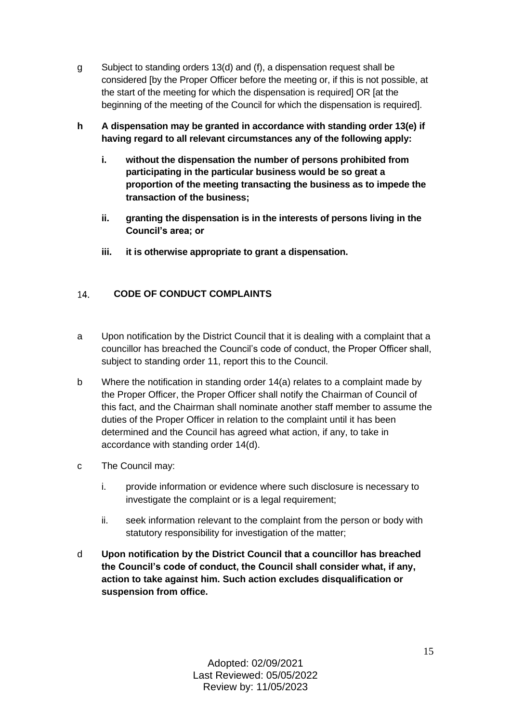- g Subject to standing orders 13(d) and (f), a dispensation request shall be considered [by the Proper Officer before the meeting or, if this is not possible, at the start of the meeting for which the dispensation is required] OR [at the beginning of the meeting of the Council for which the dispensation is required].
- **h A dispensation may be granted in accordance with standing order 13(e) if having regard to all relevant circumstances any of the following apply:**
	- **i. without the dispensation the number of persons prohibited from participating in the particular business would be so great a proportion of the meeting transacting the business as to impede the transaction of the business;**
	- **ii. granting the dispensation is in the interests of persons living in the Council's area; or**
	- **iii. it is otherwise appropriate to grant a dispensation.**

#### <span id="page-14-0"></span>**CODE OF CONDUCT COMPLAINTS**  14.

- a Upon notification by the District Council that it is dealing with a complaint that a councillor has breached the Council's code of conduct, the Proper Officer shall, subject to standing order 11, report this to the Council.
- b Where the notification in standing order 14(a) relates to a complaint made by the Proper Officer, the Proper Officer shall notify the Chairman of Council of this fact, and the Chairman shall nominate another staff member to assume the duties of the Proper Officer in relation to the complaint until it has been determined and the Council has agreed what action, if any, to take in accordance with standing order 14(d).
- c The Council may:
	- i. provide information or evidence where such disclosure is necessary to investigate the complaint or is a legal requirement;
	- ii. seek information relevant to the complaint from the person or body with statutory responsibility for investigation of the matter;
- d **Upon notification by the District Council that a councillor has breached the Council's code of conduct, the Council shall consider what, if any, action to take against him. Such action excludes disqualification or suspension from office.**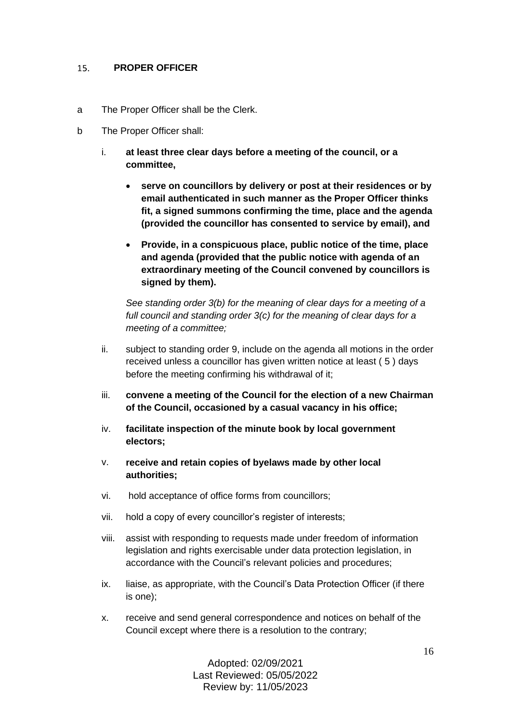#### <span id="page-15-0"></span> $15.$ **PROPER OFFICER**

- a The Proper Officer shall be the Clerk.
- b The Proper Officer shall:
	- i. **at least three clear days before a meeting of the council, or a committee,**
		- **serve on councillors by delivery or post at their residences or by email authenticated in such manner as the Proper Officer thinks fit, a signed summons confirming the time, place and the agenda (provided the councillor has consented to service by email), and**
		- **Provide, in a conspicuous place, public notice of the time, place and agenda (provided that the public notice with agenda of an extraordinary meeting of the Council convened by councillors is signed by them).**

*See standing order 3(b) for the meaning of clear days for a meeting of a full council and standing order 3(c) for the meaning of clear days for a meeting of a committee;*

- ii. subject to standing order 9, include on the agenda all motions in the order received unless a councillor has given written notice at least ( 5 ) days before the meeting confirming his withdrawal of it;
- iii. **convene a meeting of the Council for the election of a new Chairman of the Council, occasioned by a casual vacancy in his office;**
- iv. **facilitate inspection of the minute book by local government electors;**
- v. **receive and retain copies of byelaws made by other local authorities;**
- vi. hold acceptance of office forms from councillors;
- vii. hold a copy of every councillor's register of interests;
- viii. assist with responding to requests made under freedom of information legislation and rights exercisable under data protection legislation, in accordance with the Council's relevant policies and procedures;
- ix. liaise, as appropriate, with the Council's Data Protection Officer (if there is one);
- x. receive and send general correspondence and notices on behalf of the Council except where there is a resolution to the contrary;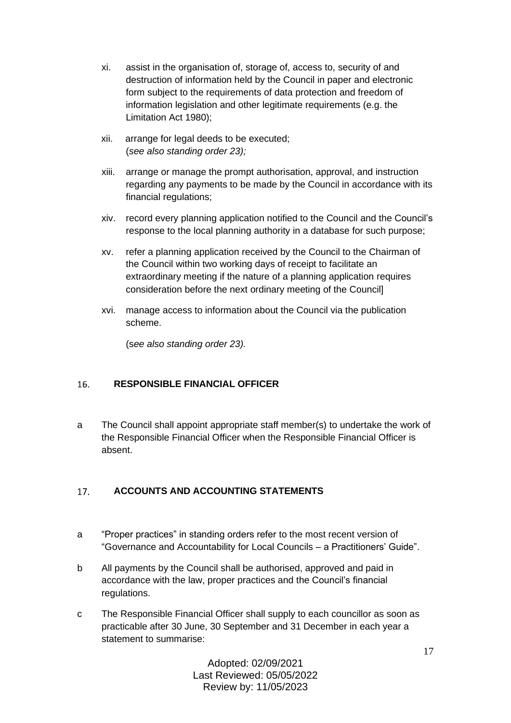- xi. assist in the organisation of, storage of, access to, security of and destruction of information held by the Council in paper and electronic form subject to the requirements of data protection and freedom of information legislation and other legitimate requirements (e.g. the Limitation Act 1980);
- xii. arrange for legal deeds to be executed; (*see also standing order 23);*
- xiii. arrange or manage the prompt authorisation, approval, and instruction regarding any payments to be made by the Council in accordance with its financial regulations;
- xiv. record every planning application notified to the Council and the Council's response to the local planning authority in a database for such purpose;
- xv. refer a planning application received by the Council to the Chairman of the Council within two working days of receipt to facilitate an extraordinary meeting if the nature of a planning application requires consideration before the next ordinary meeting of the Council]
- xvi. manage access to information about the Council via the publication scheme.

(s*ee also standing order 23).*

#### <span id="page-16-0"></span>16. **RESPONSIBLE FINANCIAL OFFICER**

a The Council shall appoint appropriate staff member(s) to undertake the work of the Responsible Financial Officer when the Responsible Financial Officer is absent.

#### <span id="page-16-1"></span> $17.$ **ACCOUNTS AND ACCOUNTING STATEMENTS**

- a "Proper practices" in standing orders refer to the most recent version of "Governance and Accountability for Local Councils – a Practitioners' Guide".
- b All payments by the Council shall be authorised, approved and paid in accordance with the law, proper practices and the Council's financial regulations.
- c The Responsible Financial Officer shall supply to each councillor as soon as practicable after 30 June, 30 September and 31 December in each year a statement to summarise: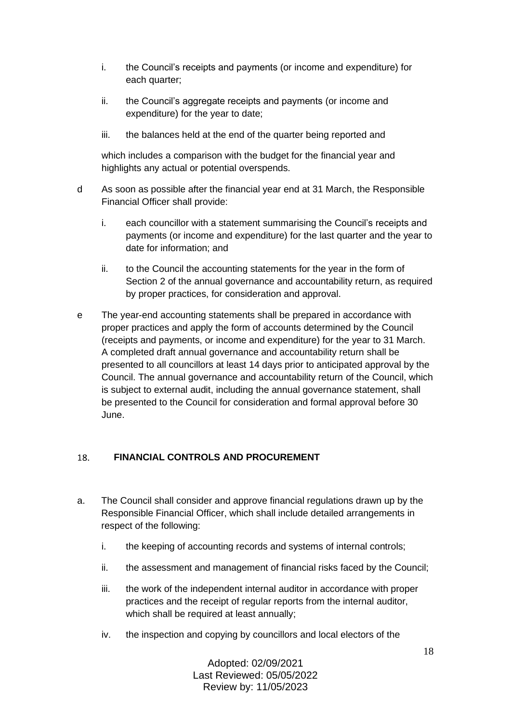- i. the Council's receipts and payments (or income and expenditure) for each quarter;
- ii. the Council's aggregate receipts and payments (or income and expenditure) for the year to date;
- iii. the balances held at the end of the quarter being reported and

which includes a comparison with the budget for the financial year and highlights any actual or potential overspends.

- d As soon as possible after the financial year end at 31 March, the Responsible Financial Officer shall provide:
	- i. each councillor with a statement summarising the Council's receipts and payments (or income and expenditure) for the last quarter and the year to date for information; and
	- ii. to the Council the accounting statements for the year in the form of Section 2 of the annual governance and accountability return, as required by proper practices, for consideration and approval.
- e The year-end accounting statements shall be prepared in accordance with proper practices and apply the form of accounts determined by the Council (receipts and payments, or income and expenditure) for the year to 31 March. A completed draft annual governance and accountability return shall be presented to all councillors at least 14 days prior to anticipated approval by the Council. The annual governance and accountability return of the Council, which is subject to external audit, including the annual governance statement, shall be presented to the Council for consideration and formal approval before 30 June.

#### <span id="page-17-0"></span>**FINANCIAL CONTROLS AND PROCUREMENT** 18.

- a. The Council shall consider and approve financial regulations drawn up by the Responsible Financial Officer, which shall include detailed arrangements in respect of the following:
	- i. the keeping of accounting records and systems of internal controls;
	- ii. the assessment and management of financial risks faced by the Council;
	- iii. the work of the independent internal auditor in accordance with proper practices and the receipt of regular reports from the internal auditor, which shall be required at least annually;
	- iv. the inspection and copying by councillors and local electors of the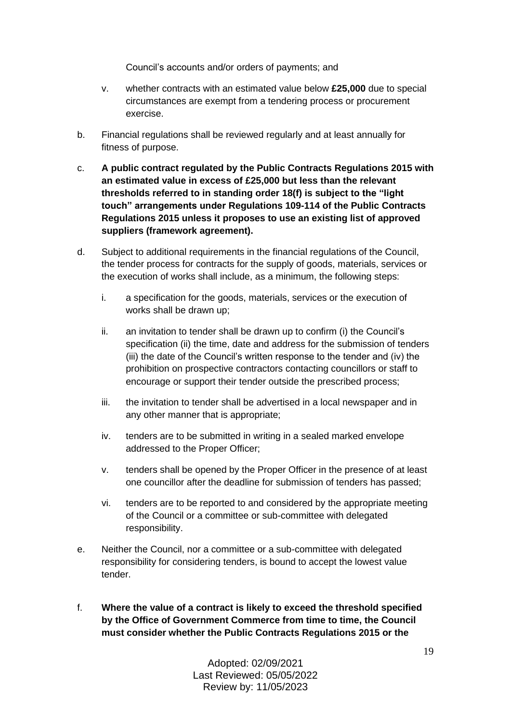Council's accounts and/or orders of payments; and

- v. whether contracts with an estimated value below **£25,000** due to special circumstances are exempt from a tendering process or procurement exercise.
- b. Financial regulations shall be reviewed regularly and at least annually for fitness of purpose.
- c. **A public contract regulated by the Public Contracts Regulations 2015 with an estimated value in excess of £25,000 but less than the relevant thresholds referred to in standing order 18(f) is subject to the "light touch" arrangements under Regulations 109-114 of the Public Contracts Regulations 2015 unless it proposes to use an existing list of approved suppliers (framework agreement).**
- d. Subject to additional requirements in the financial regulations of the Council, the tender process for contracts for the supply of goods, materials, services or the execution of works shall include, as a minimum, the following steps:
	- i. a specification for the goods, materials, services or the execution of works shall be drawn up;
	- ii. an invitation to tender shall be drawn up to confirm (i) the Council's specification (ii) the time, date and address for the submission of tenders (iii) the date of the Council's written response to the tender and (iv) the prohibition on prospective contractors contacting councillors or staff to encourage or support their tender outside the prescribed process;
	- iii. the invitation to tender shall be advertised in a local newspaper and in any other manner that is appropriate;
	- iv. tenders are to be submitted in writing in a sealed marked envelope addressed to the Proper Officer;
	- v. tenders shall be opened by the Proper Officer in the presence of at least one councillor after the deadline for submission of tenders has passed;
	- vi. tenders are to be reported to and considered by the appropriate meeting of the Council or a committee or sub-committee with delegated responsibility.
- e. Neither the Council, nor a committee or a sub-committee with delegated responsibility for considering tenders, is bound to accept the lowest value tender.
- f. **Where the value of a contract is likely to exceed the threshold specified by the Office of Government Commerce from time to time, the Council must consider whether the Public Contracts Regulations 2015 or the**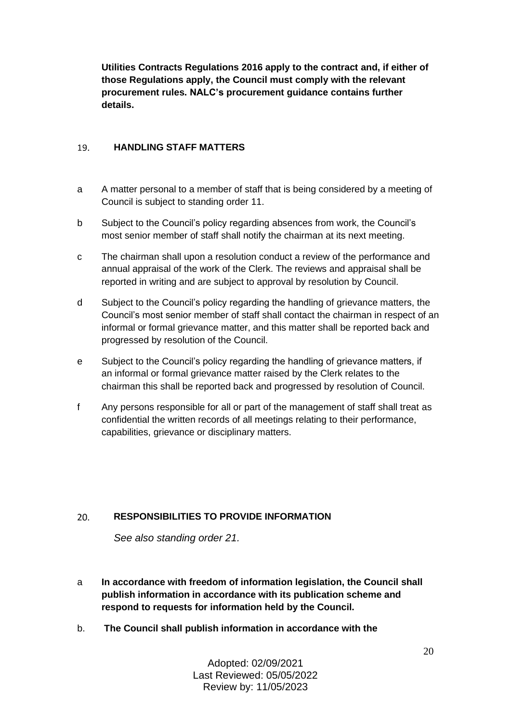**Utilities Contracts Regulations 2016 apply to the contract and, if either of those Regulations apply, the Council must comply with the relevant procurement rules. NALC's procurement guidance contains further details.**

#### <span id="page-19-0"></span> $19<sup>°</sup>$ **HANDLING STAFF MATTERS**

- a A matter personal to a member of staff that is being considered by a meeting of Council is subject to standing order 11.
- b Subject to the Council's policy regarding absences from work, the Council's most senior member of staff shall notify the chairman at its next meeting.
- c The chairman shall upon a resolution conduct a review of the performance and annual appraisal of the work of the Clerk. The reviews and appraisal shall be reported in writing and are subject to approval by resolution by Council.
- d Subject to the Council's policy regarding the handling of grievance matters, the Council's most senior member of staff shall contact the chairman in respect of an informal or formal grievance matter, and this matter shall be reported back and progressed by resolution of the Council.
- e Subject to the Council's policy regarding the handling of grievance matters, if an informal or formal grievance matter raised by the Clerk relates to the chairman this shall be reported back and progressed by resolution of Council.
- f Any persons responsible for all or part of the management of staff shall treat as confidential the written records of all meetings relating to their performance, capabilities, grievance or disciplinary matters.

#### <span id="page-19-1"></span> $20.$ **RESPONSIBILITIES TO PROVIDE INFORMATION**

*See also standing order 21.*

- a **In accordance with freedom of information legislation, the Council shall publish information in accordance with its publication scheme and respond to requests for information held by the Council.**
- b. **The Council shall publish information in accordance with the**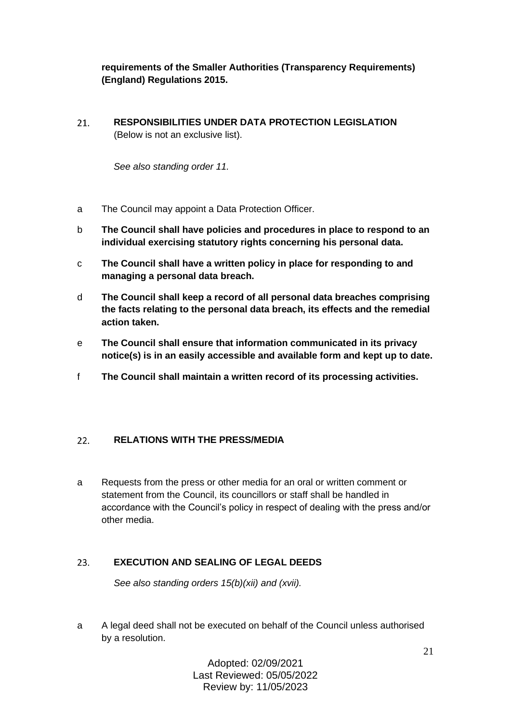**requirements of the Smaller Authorities (Transparency Requirements) (England) Regulations 2015.**

<span id="page-20-0"></span>**RESPONSIBILITIES UNDER DATA PROTECTION LEGISLATION**  21. (Below is not an exclusive list).

*See also standing order 11.*

- a The Council may appoint a Data Protection Officer.
- b **The Council shall have policies and procedures in place to respond to an individual exercising statutory rights concerning his personal data.**
- c **The Council shall have a written policy in place for responding to and managing a personal data breach.**
- d **The Council shall keep a record of all personal data breaches comprising the facts relating to the personal data breach, its effects and the remedial action taken.**
- e **The Council shall ensure that information communicated in its privacy notice(s) is in an easily accessible and available form and kept up to date.**
- f **The Council shall maintain a written record of its processing activities.**

#### <span id="page-20-1"></span> $22.$ **RELATIONS WITH THE PRESS/MEDIA**

a Requests from the press or other media for an oral or written comment or statement from the Council, its councillors or staff shall be handled in accordance with the Council's policy in respect of dealing with the press and/or other media.

#### <span id="page-20-2"></span>23. **EXECUTION AND SEALING OF LEGAL DEEDS**

*See also standing orders 15(b)(xii) and (xvii).*

a A legal deed shall not be executed on behalf of the Council unless authorised by a resolution.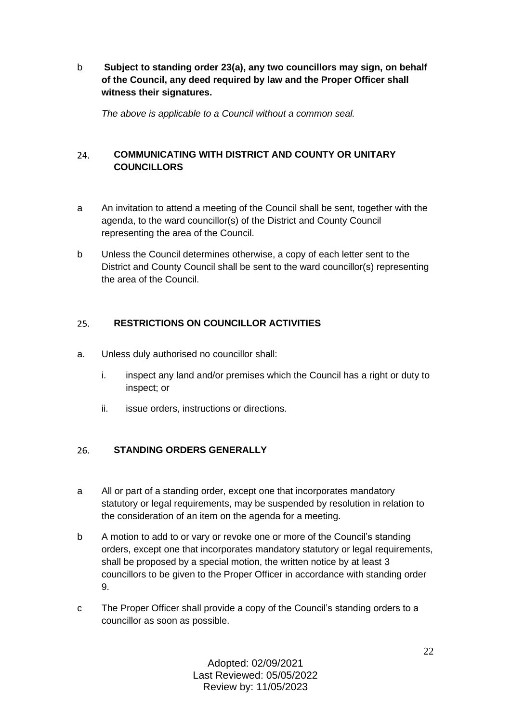b **Subject to standing order 23(a), any two councillors may sign, on behalf of the Council, any deed required by law and the Proper Officer shall witness their signatures.**

*The above is applicable to a Council without a common seal.*

# <span id="page-21-0"></span> $24$ **COMMUNICATING WITH DISTRICT AND COUNTY OR UNITARY COUNCILLORS**

- a An invitation to attend a meeting of the Council shall be sent, together with the agenda, to the ward councillor(s) of the District and County Council representing the area of the Council.
- <span id="page-21-1"></span>b Unless the Council determines otherwise, a copy of each letter sent to the District and County Council shall be sent to the ward councillor(s) representing the area of the Council.

#### $25.$ **RESTRICTIONS ON COUNCILLOR ACTIVITIES**

- a. Unless duly authorised no councillor shall:
	- i. inspect any land and/or premises which the Council has a right or duty to inspect; or
	- ii. issue orders, instructions or directions.

#### <span id="page-21-2"></span>26. **STANDING ORDERS GENERALLY**

- a All or part of a standing order, except one that incorporates mandatory statutory or legal requirements, may be suspended by resolution in relation to the consideration of an item on the agenda for a meeting.
- b A motion to add to or vary or revoke one or more of the Council's standing orders, except one that incorporates mandatory statutory or legal requirements, shall be proposed by a special motion, the written notice by at least 3 councillors to be given to the Proper Officer in accordance with standing order 9.
- c The Proper Officer shall provide a copy of the Council's standing orders to a councillor as soon as possible.